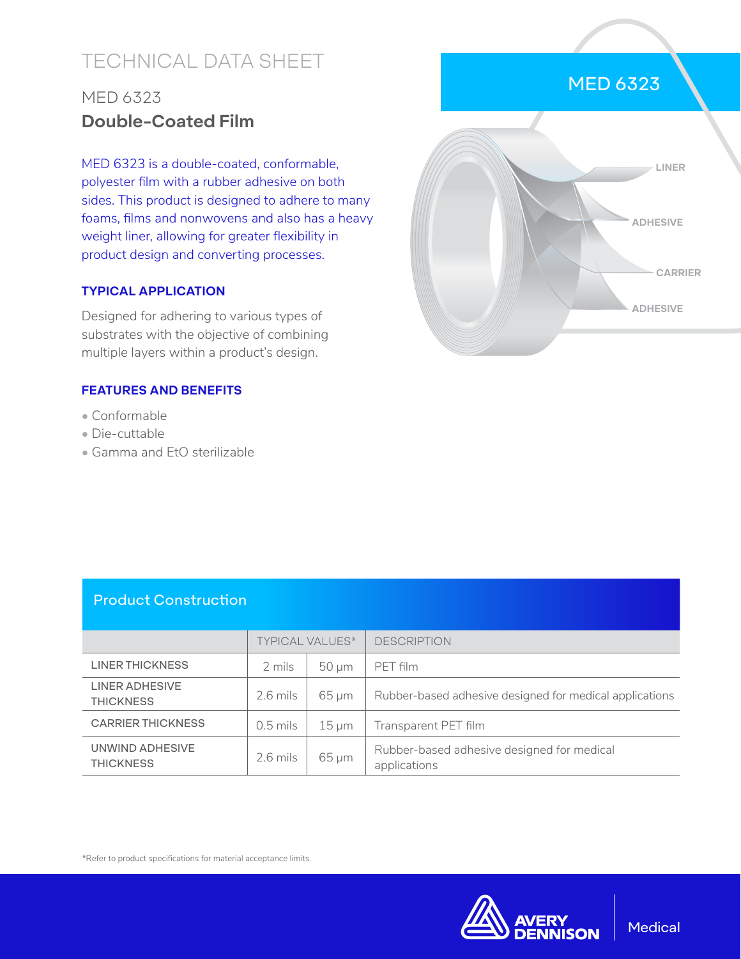# TECHNICAL DATA SHEET

# MED 6323 **Double-Coated Film**

MED 6323 is a double-coated, conformable, polyester film with a rubber adhesive on both sides. This product is designed to adhere to many foams, films and nonwovens and also has a heavy weight liner, allowing for greater flexibility in product design and converting processes.

#### **TYPICAL APPLICATION**

Designed for adhering to various types of substrates with the objective of combining multiple layers within a product's design.

#### **FEATURES AND BENEFITS**

- Conformable
- Die-cuttable
- Gamma and EtO sterilizable



### Product Construction

|                                     | <b>TYPICAL VALUES*</b> |            | <b>DESCRIPTION</b>                                         |
|-------------------------------------|------------------------|------------|------------------------------------------------------------|
| LINER THICKNESS                     | 2 mils                 | $50 \mu m$ | PFT film                                                   |
| LINER ADHESIVE<br><b>THICKNESS</b>  | $2.6$ mils             | $65 \mu m$ | Rubber-based adhesive designed for medical applications    |
| <b>CARRIER THICKNESS</b>            | 0.5 mils               | $15 \mu m$ | Transparent PET film                                       |
| UNWIND ADHESIVE<br><b>THICKNESS</b> | 2.6 mils               | $65 \mu m$ | Rubber-based adhesive designed for medical<br>applications |